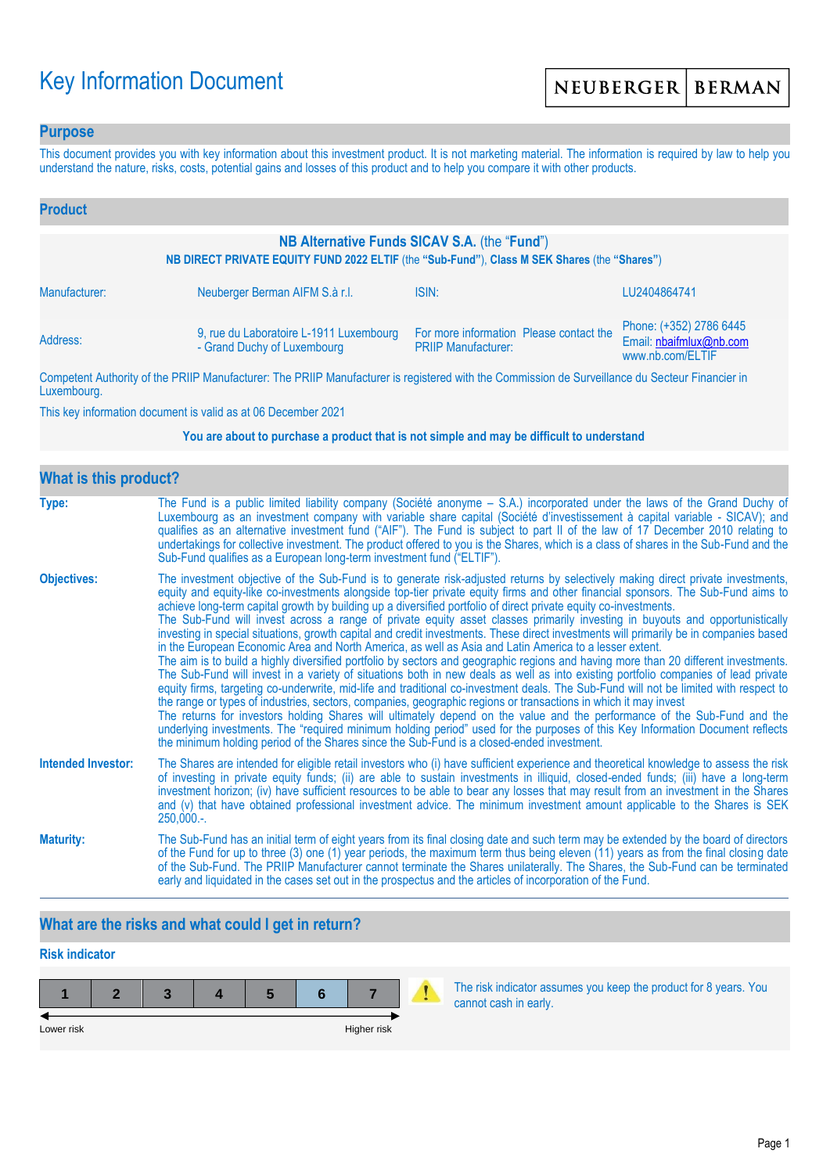# Key Information Document

### **Purpose**

This document provides you with key information about this investment product. It is not marketing material. The information is required by law to help you understand the nature, risks, costs, potential gains and losses of this product and to help you compare it with other products.

| <b>Product</b>                                                                                                                               |                                                                        |                                                                       |                                                                        |  |
|----------------------------------------------------------------------------------------------------------------------------------------------|------------------------------------------------------------------------|-----------------------------------------------------------------------|------------------------------------------------------------------------|--|
| NB Alternative Funds SICAV S.A. (the "Fund")<br>NB DIRECT PRIVATE EQUITY FUND 2022 ELTIF (the "Sub-Fund"), Class M SEK Shares (the "Shares") |                                                                        |                                                                       |                                                                        |  |
| Manufacturer:                                                                                                                                | Neuberger Berman AIFM S.à r.l.                                         | ISIN:                                                                 | LU2404864741                                                           |  |
| Address:                                                                                                                                     | 9, rue du Laboratoire L-1911 Luxembourg<br>- Grand Duchy of Luxembourg | For more information Please contact the<br><b>PRIIP Manufacturer:</b> | Phone: (+352) 2786 6445<br>Email: nbaifmlux@nb.com<br>www.nb.com/ELTIF |  |

Competent Authority of the PRIIP Manufacturer: The PRIIP Manufacturer is registered with the Commission de Surveillance du Secteur Financier in Luxembourg.

This key information document is valid as at 06 December 2021

#### **You are about to purchase a product that is not simple and may be difficult to understand**

| <b>What is this product?</b> |                                                                                                                                                                                                                                                                                                                                                                                                                                                                                                                                                                                                                                                                                                                                                                                                                                                                                                                                                                                                                                                                                                                                                                                                                                                                                                                                                                                                                                                                                                                                                                                                                                                                               |  |  |  |
|------------------------------|-------------------------------------------------------------------------------------------------------------------------------------------------------------------------------------------------------------------------------------------------------------------------------------------------------------------------------------------------------------------------------------------------------------------------------------------------------------------------------------------------------------------------------------------------------------------------------------------------------------------------------------------------------------------------------------------------------------------------------------------------------------------------------------------------------------------------------------------------------------------------------------------------------------------------------------------------------------------------------------------------------------------------------------------------------------------------------------------------------------------------------------------------------------------------------------------------------------------------------------------------------------------------------------------------------------------------------------------------------------------------------------------------------------------------------------------------------------------------------------------------------------------------------------------------------------------------------------------------------------------------------------------------------------------------------|--|--|--|
| Type:                        | The Fund is a public limited liability company (Société anonyme – S.A.) incorporated under the laws of the Grand Duchy of<br>Luxembourg as an investment company with variable share capital (Société d'investissement à capital variable - SICAV); and<br>qualifies as an alternative investment fund ("AIF"). The Fund is subject to part II of the law of 17 December 2010 relating to<br>undertakings for collective investment. The product offered to you is the Shares, which is a class of shares in the Sub-Fund and the<br>Sub-Fund qualifies as a European long-term investment fund ("ELTIF").                                                                                                                                                                                                                                                                                                                                                                                                                                                                                                                                                                                                                                                                                                                                                                                                                                                                                                                                                                                                                                                                    |  |  |  |
| <b>Objectives:</b>           | The investment objective of the Sub-Fund is to generate risk-adjusted returns by selectively making direct private investments,<br>equity and equity-like co-investments alongside top-tier private equity firms and other financial sponsors. The Sub-Fund aims to<br>achieve long-term capital growth by building up a diversified portfolio of direct private equity co-investments.<br>The Sub-Fund will invest across a range of private equity asset classes primarily investing in buyouts and opportunistically<br>investing in special situations, growth capital and credit investments. These direct investments will primarily be in companies based<br>in the European Economic Area and North America, as well as Asia and Latin America to a lesser extent.<br>The aim is to build a highly diversified portfolio by sectors and geographic regions and having more than 20 different investments.<br>The Sub-Fund will invest in a variety of situations both in new deals as well as into existing portfolio companies of lead private<br>equity firms, targeting co-underwrite, mid-life and traditional co-investment deals. The Sub-Fund will not be limited with respect to<br>the range or types of industries, sectors, companies, geographic regions or transactions in which it may invest<br>The returns for investors holding Shares will ultimately depend on the value and the performance of the Sub-Fund and the<br>underlying investments. The "required minimum holding period" used for the purposes of this Key Information Document reflects<br>the minimum holding period of the Shares since the Sub-Fund is a closed-ended investment. |  |  |  |
| <b>Intended Investor:</b>    | The Shares are intended for eligible retail investors who (i) have sufficient experience and theoretical knowledge to assess the risk<br>of investing in private equity funds; (ii) are able to sustain investments in illiquid, closed-ended funds; (iii) have a long-term<br>investment horizon; (iv) have sufficient resources to be able to bear any losses that may result from an investment in the Shares<br>and (v) that have obtained professional investment advice. The minimum investment amount applicable to the Shares is SEK<br>$250,000.$ -.                                                                                                                                                                                                                                                                                                                                                                                                                                                                                                                                                                                                                                                                                                                                                                                                                                                                                                                                                                                                                                                                                                                 |  |  |  |
| <b>Maturity:</b>             | The Sub-Fund has an initial term of eight years from its final closing date and such term may be extended by the board of directors<br>of the Fund for up to three (3) one (1) year periods, the maximum term thus being eleven (11) years as from the final closing date<br>of the Sub-Fund. The PRIIP Manufacturer cannot terminate the Shares unilaterally. The Shares, the Sub-Fund can be terminated<br>early and liquidated in the cases set out in the prospectus and the articles of incorporation of the Fund.                                                                                                                                                                                                                                                                                                                                                                                                                                                                                                                                                                                                                                                                                                                                                                                                                                                                                                                                                                                                                                                                                                                                                       |  |  |  |

# **What are the risks and what could I get in return?**

# **Risk indicator**

**1 2 3 4 5 6 7** Lower risk **Higher risk** Higher risk **Higher risk** 

The risk indicator assumes you keep the product for 8 years. You cannot cash in early.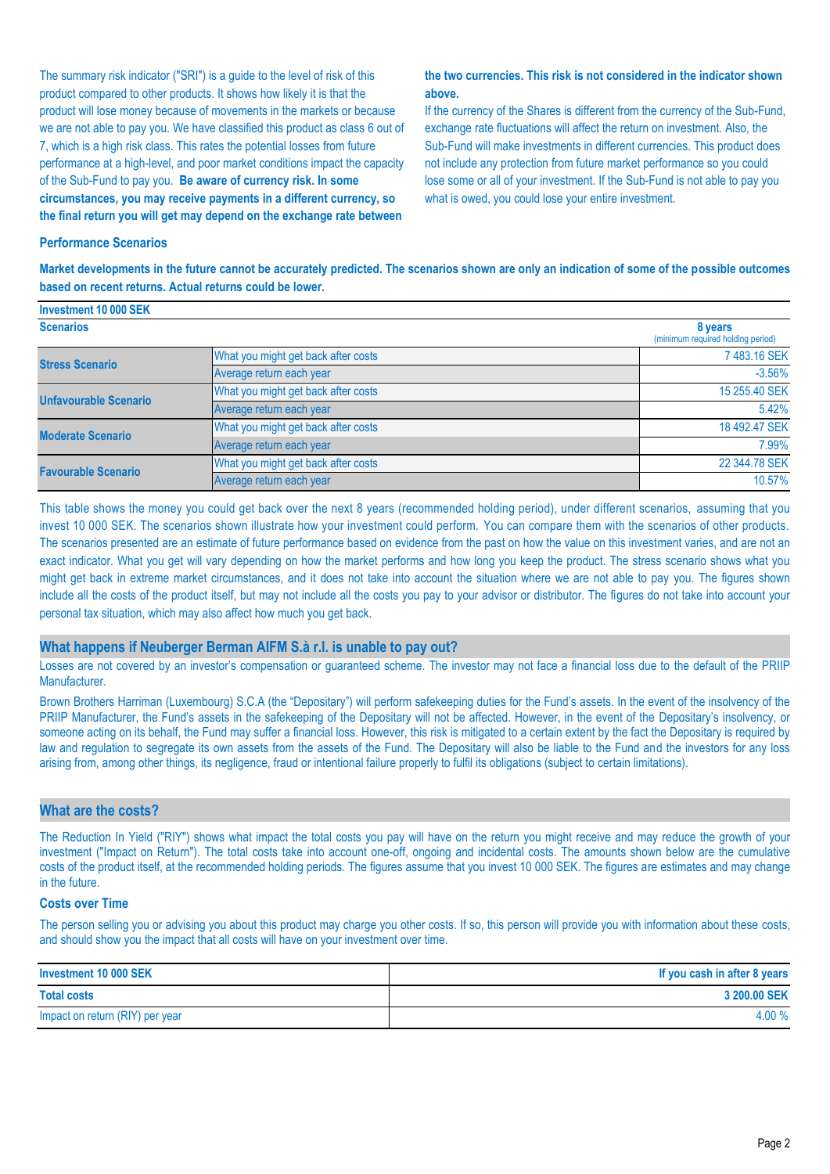The summary risk indicator ("SRI") is a guide to the level of risk of this product compared to other products. It shows how likely it is that the product will lose money because of movements in the markets or because we are not able to pay you. We have classified this product as class 6 out of 7, which is a high risk class. This rates the potential losses from future performance at a high-level, and poor market conditions impact the capacity of the Sub-Fund to pay you. **Be aware of currency risk. In some circumstances, you may receive payments in a different currency, so the final return you will get may depend on the exchange rate between** 

#### **the two currencies. This risk is not considered in the indicator shown above.**

If the currency of the Shares is different from the currency of the Sub-Fund, exchange rate fluctuations will affect the return on investment. Also, the Sub-Fund will make investments in different currencies. This product does not include any protection from future market performance so you could lose some or all of your investment. If the Sub-Fund is not able to pay you what is owed, you could lose your entire investment.

#### **Performance Scenarios**

**Investment 10 000 SEK**

**Market developments in the future cannot be accurately predicted. The scenarios shown are only an indication of some of the possible outcomes based on recent returns. Actual returns could be lower.**

| <b>INVESURENT TU UUU SER</b> |                                     |                                              |
|------------------------------|-------------------------------------|----------------------------------------------|
| <b>Scenarios</b>             |                                     | 8 years<br>(minimum required holding period) |
| <b>Stress Scenario</b>       | What you might get back after costs | 7483.16 SEK                                  |
|                              | Average return each year            | $-3.56%$                                     |
| <b>Unfavourable Scenario</b> | What you might get back after costs | 15 255,40 SEK                                |
|                              | Average return each year            | 5.42%                                        |
| <b>Moderate Scenario</b>     | What you might get back after costs | 18 492.47 SEK                                |
|                              | Average return each year            | 7.99%                                        |
| <b>Favourable Scenario</b>   | What you might get back after costs | 22 344.78 SEK                                |
|                              | Average return each year            | 10.57%                                       |

This table shows the money you could get back over the next 8 years (recommended holding period), under different scenarios, assuming that you invest 10 000 SEK. The scenarios shown illustrate how your investment could perform. You can compare them with the scenarios of other products. The scenarios presented are an estimate of future performance based on evidence from the past on how the value on this investment varies, and are not an exact indicator. What you get will vary depending on how the market performs and how long you keep the product. The stress scenario shows what you might get back in extreme market circumstances, and it does not take into account the situation where we are not able to pay you. The figures shown include all the costs of the product itself, but may not include all the costs you pay to your advisor or distributor. The figures do not take into account your personal tax situation, which may also affect how much you get back.

#### **What happens if Neuberger Berman AIFM S.à r.l. is unable to pay out?**

Losses are not covered by an investor's compensation or guaranteed scheme. The investor may not face a financial loss due to the default of the PRIIP Manufacturer.

Brown Brothers Harriman (Luxembourg) S.C.A (the "Depositary") will perform safekeeping duties for the Fund's assets. In the event of the insolvency of the PRIIP Manufacturer, the Fund's assets in the safekeeping of the Depositary will not be affected. However, in the event of the Depositary's insolvency, or someone acting on its behalf, the Fund may suffer a financial loss. However, this risk is mitigated to a certain extent by the fact the Depositary is required by law and regulation to segregate its own assets from the assets of the Fund. The Depositary will also be liable to the Fund and the investors for any loss arising from, among other things, its negligence, fraud or intentional failure properly to fulfil its obligations (subject to certain limitations).

#### **What are the costs?**

The Reduction In Yield ("RIY") shows what impact the total costs you pay will have on the return you might receive and may reduce the growth of your investment ("Impact on Return"). The total costs take into account one-off, ongoing and incidental costs. The amounts shown below are the cumulative costs of the product itself, at the recommended holding periods. The figures assume that you invest 10 000 SEK. The figures are estimates and may change in the future.

#### **Costs over Time**

The person selling you or advising you about this product may charge you other costs. If so, this person will provide you with information about these costs, and should show you the impact that all costs will have on your investment over time.

| Investment 10 000 SEK           | If you cash in after 8 years |
|---------------------------------|------------------------------|
| <b>Total costs</b>              | 3 200.00 SEK                 |
| Impact on return (RIY) per year | 4.00 %                       |